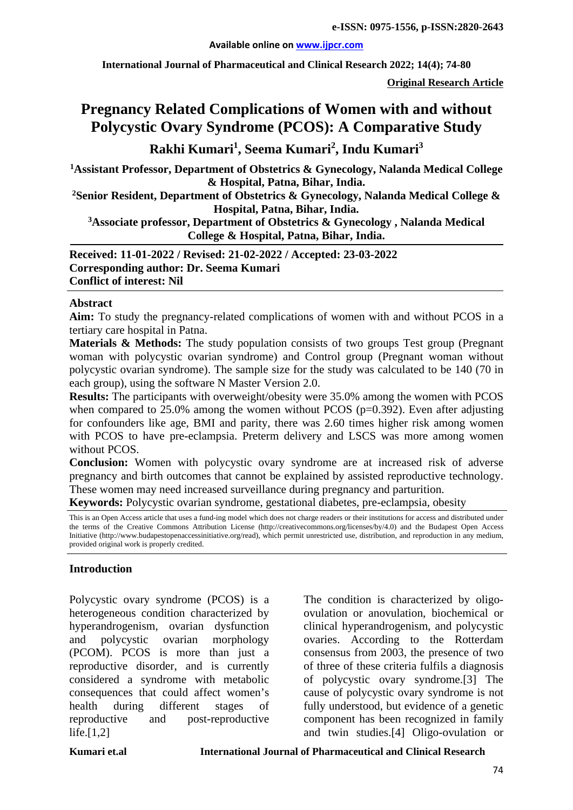#### **Available online on [www.ijpcr.com](http://www.ijpcr.com/)**

**International Journal of Pharmaceutical and Clinical Research 2022; 14(4); 74-80**

**Original Research Article**

# **Pregnancy Related Complications of Women with and without Polycystic Ovary Syndrome (PCOS): A Comparative Study**

# **Rakhi Kumari<sup>1</sup> , Seema Kumari<sup>2</sup> , Indu Kumari<sup>3</sup>**

**1 Assistant Professor, Department of Obstetrics & Gynecology, Nalanda Medical College & Hospital, Patna, Bihar, India.**

**2 Senior Resident, Department of Obstetrics & Gynecology, Nalanda Medical College & Hospital, Patna, Bihar, India.**

**3 Associate professor, Department of Obstetrics & Gynecology , Nalanda Medical College & Hospital, Patna, Bihar, India.**

**Received: 11-01-2022 / Revised: 21-02-2022 / Accepted: 23-03-2022 Corresponding author: Dr. Seema Kumari Conflict of interest: Nil**

#### **Abstract**

**Aim:** To study the pregnancy-related complications of women with and without PCOS in a tertiary care hospital in Patna.

**Materials & Methods:** The study population consists of two groups Test group (Pregnant) woman with polycystic ovarian syndrome) and Control group (Pregnant woman without polycystic ovarian syndrome). The sample size for the study was calculated to be 140 (70 in each group), using the software N Master Version 2.0.

**Results:** The participants with overweight/obesity were 35.0% among the women with PCOS when compared to  $25.0\%$  among the women without PCOS ( $p=0.392$ ). Even after adjusting for confounders like age, BMI and parity, there was 2.60 times higher risk among women with PCOS to have pre-eclampsia. Preterm delivery and LSCS was more among women without PCOS

**Conclusion:** Women with polycystic ovary syndrome are at increased risk of adverse pregnancy and birth outcomes that cannot be explained by assisted reproductive technology. These women may need increased surveillance during pregnancy and parturition.

**Keywords:** Polycystic ovarian syndrome, gestational diabetes, pre-eclampsia, obesity

This is an Open Access article that uses a fund-ing model which does not charge readers or their institutions for access and distributed under the terms of the Creative Commons Attribution License (http://creativecommons.org/licenses/by/4.0) and the Budapest Open Access Initiative (http://www.budapestopenaccessinitiative.org/read), which permit unrestricted use, distribution, and reproduction in any medium, provided original work is properly credited.

#### **Introduction**

Polycystic ovary syndrome (PCOS) is a heterogeneous condition characterized by hyperandrogenism, ovarian dysfunction and polycystic ovarian morphology (PCOM). PCOS is more than just a reproductive disorder, and is currently considered a syndrome with metabolic consequences that could affect women's health during different stages of reproductive and post-reproductive life. $[1,2]$ 

The condition is characterized by oligoovulation or anovulation, biochemical or clinical hyperandrogenism, and polycystic ovaries. According to the Rotterdam consensus from 2003, the presence of two of three of these criteria fulfils a diagnosis of polycystic ovary syndrome.[3] The cause of polycystic ovary syndrome is not fully understood, but evidence of a genetic component has been recognized in family and twin studies.[4] Oligo-ovulation or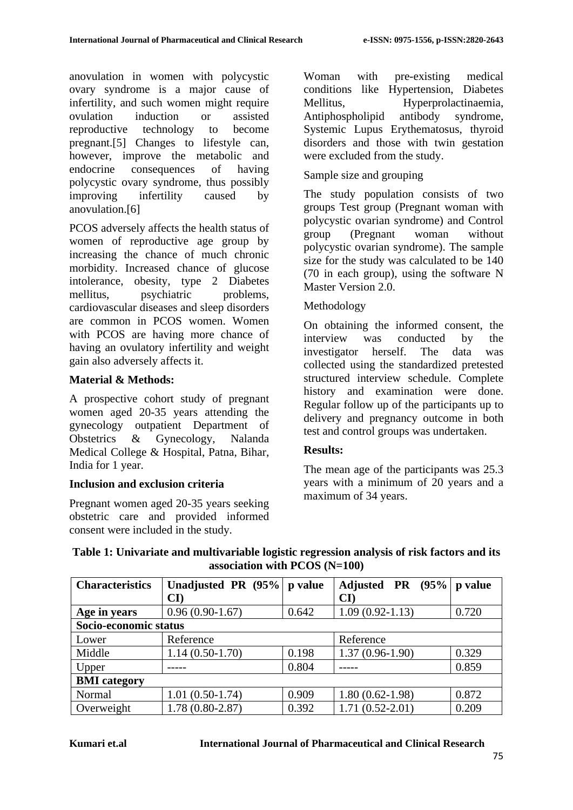anovulation in women with polycystic ovary syndrome is a major cause of infertility, and such women might require ovulation induction or assisted reproductive technology to become pregnant.[5] Changes to lifestyle can, however, improve the metabolic and endocrine consequences of having polycystic ovary syndrome, thus possibly improving infertility caused by anovulation.[6]

PCOS adversely affects the health status of women of reproductive age group by increasing the chance of much chronic morbidity. Increased chance of glucose intolerance, obesity, type 2 Diabetes mellitus, psychiatric problems, cardiovascular diseases and sleep disorders are common in PCOS women. Women with PCOS are having more chance of having an ovulatory infertility and weight gain also adversely affects it.

### **Material & Methods:**

A prospective cohort study of pregnant women aged 20-35 years attending the gynecology outpatient Department of Obstetrics & Gynecology, Nalanda Medical College & Hospital, Patna, Bihar, India for 1 year.

#### **Inclusion and exclusion criteria**

Pregnant women aged 20-35 years seeking obstetric care and provided informed consent were included in the study.

Woman with pre-existing medical conditions like Hypertension, Diabetes Mellitus, Hyperprolactinaemia, Antiphospholipid antibody syndrome, Systemic Lupus Erythematosus, thyroid disorders and those with twin gestation were excluded from the study.

#### Sample size and grouping

The study population consists of two groups Test group (Pregnant woman with polycystic ovarian syndrome) and Control group (Pregnant woman without polycystic ovarian syndrome). The sample size for the study was calculated to be 140 (70 in each group), using the software N Master Version 2.0.

#### Methodology

On obtaining the informed consent, the interview was conducted by the investigator herself. The data was collected using the standardized pretested structured interview schedule. Complete history and examination were done. Regular follow up of the participants up to delivery and pregnancy outcome in both test and control groups was undertaken.

#### **Results:**

The mean age of the participants was 25.3 years with a minimum of 20 years and a maximum of 34 years.

| <b>Characteristics</b> | Unadjusted PR (95%)<br>$\mathbf{C}\mathbf{D}$ | p value | Adjusted PR (95%)<br>$\mathbf{C}\mathbf{D}$ | p value |  |  |
|------------------------|-----------------------------------------------|---------|---------------------------------------------|---------|--|--|
|                        |                                               |         |                                             |         |  |  |
| Age in years           | $0.96(0.90-1.67)$                             | 0.642   | $1.09(0.92 - 1.13)$                         | 0.720   |  |  |
| Socio-economic status  |                                               |         |                                             |         |  |  |
| Lower                  | Reference                                     |         | Reference                                   |         |  |  |
| Middle                 | $1.14(0.50-1.70)$                             | 0.198   | $1.37(0.96-1.90)$                           | 0.329   |  |  |
| Upper                  |                                               | 0.804   |                                             | 0.859   |  |  |
| <b>BMI</b> category    |                                               |         |                                             |         |  |  |
| Normal                 | $1.01(0.50-1.74)$                             | 0.909   | $1.80(0.62-1.98)$                           | 0.872   |  |  |
| Overweight             | $1.78(0.80-2.87)$                             | 0.392   | $1.71(0.52 - 2.01)$                         | 0.209   |  |  |

#### **Table 1: Univariate and multivariable logistic regression analysis of risk factors and its association with PCOS (N=100)**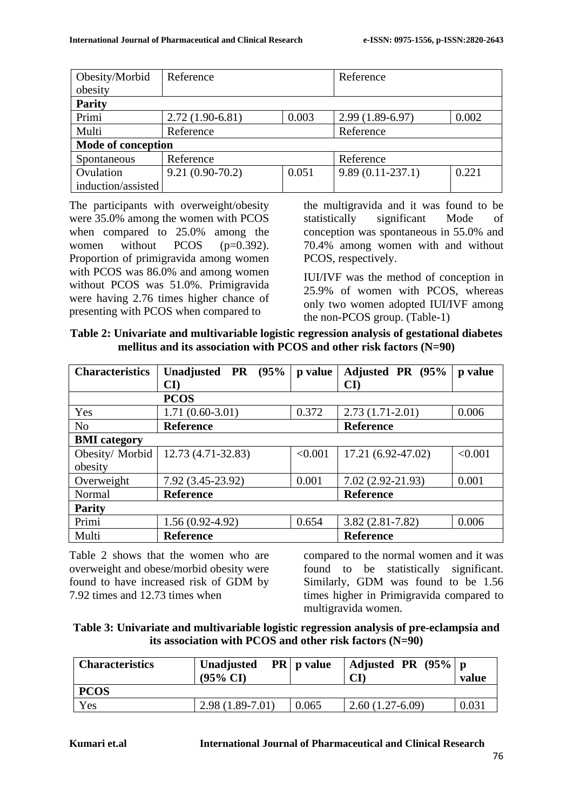| Obesity/Morbid     | Reference         |       | Reference          |       |  |  |
|--------------------|-------------------|-------|--------------------|-------|--|--|
| obesity            |                   |       |                    |       |  |  |
| <b>Parity</b>      |                   |       |                    |       |  |  |
| Primi              | $2.72(1.90-6.81)$ | 0.003 | $2.99(1.89-6.97)$  | 0.002 |  |  |
| Multi              | Reference         |       | Reference          |       |  |  |
| Mode of conception |                   |       |                    |       |  |  |
| Spontaneous        | Reference         |       | Reference          |       |  |  |
| Ovulation          | $9.21(0.90-70.2)$ | 0.051 | $9.89(0.11-237.1)$ | 0.221 |  |  |
| induction/assisted |                   |       |                    |       |  |  |

The participants with overweight/obesity were 35.0% among the women with PCOS when compared to 25.0% among the women without PCOS (p=0.392). Proportion of primigravida among women with PCOS was 86.0% and among women without PCOS was 51.0%. Primigravida were having 2.76 times higher chance of presenting with PCOS when compared to

the multigravida and it was found to be statistically significant Mode of conception was spontaneous in 55.0% and 70.4% among women with and without PCOS, respectively.

IUI/IVF was the method of conception in 25.9% of women with PCOS, whereas only two women adopted IUI/IVF among the non-PCOS group. (Table-1)

| Table 2: Univariate and multivariable logistic regression analysis of gestational diabetes |  |
|--------------------------------------------------------------------------------------------|--|
| mellitus and its association with PCOS and other risk factors $(N=90)$                     |  |

| <b>Characteristics</b> | (95%<br>Unadjusted PR  | p value | Adjusted PR (95%       | p value |  |
|------------------------|------------------------|---------|------------------------|---------|--|
|                        | $\mathbf{C}\mathbf{D}$ |         | $\mathbf{C}\mathbf{D}$ |         |  |
|                        | <b>PCOS</b>            |         |                        |         |  |
| Yes                    | $1.71(0.60-3.01)$      | 0.372   | $2.73(1.71-2.01)$      | 0.006   |  |
| N <sub>o</sub>         | <b>Reference</b>       |         | <b>Reference</b>       |         |  |
| <b>BMI</b> category    |                        |         |                        |         |  |
| Obesity/Morbid         | 12.73 (4.71-32.83)     | < 0.001 | 17.21 (6.92-47.02)     | < 0.001 |  |
| obesity                |                        |         |                        |         |  |
| Overweight             | 7.92 (3.45-23.92)      | 0.001   | $7.02(2.92 - 21.93)$   | 0.001   |  |
| Normal                 | <b>Reference</b>       |         | <b>Reference</b>       |         |  |
| <b>Parity</b>          |                        |         |                        |         |  |
| Primi                  | $1.56(0.92-4.92)$      | 0.654   | $3.82(2.81 - 7.82)$    | 0.006   |  |
| Multi                  | <b>Reference</b>       |         | <b>Reference</b>       |         |  |

Table 2 shows that the women who are overweight and obese/morbid obesity were found to have increased risk of GDM by 7.92 times and 12.73 times when

compared to the normal women and it was found to be statistically significant. Similarly, GDM was found to be 1.56 times higher in Primigravida compared to multigravida women.

**Table 3: Univariate and multivariable logistic regression analysis of pre-eclampsia and its association with PCOS and other risk factors (N=90)**

| <b>Characteristics</b> | Unadjusted<br>$(95\% \text{ CI})$ | $PR \mid p$ value | Adjusted PR $(95\%$ p<br>$\mathbf{C}\mathbf{\Gamma}$ | value |
|------------------------|-----------------------------------|-------------------|------------------------------------------------------|-------|
| <b>PCOS</b>            |                                   |                   |                                                      |       |
| Yes                    | $2.98(1.89-7.01)$                 | 0.065             | $2.60(1.27-6.09)$                                    | 0.031 |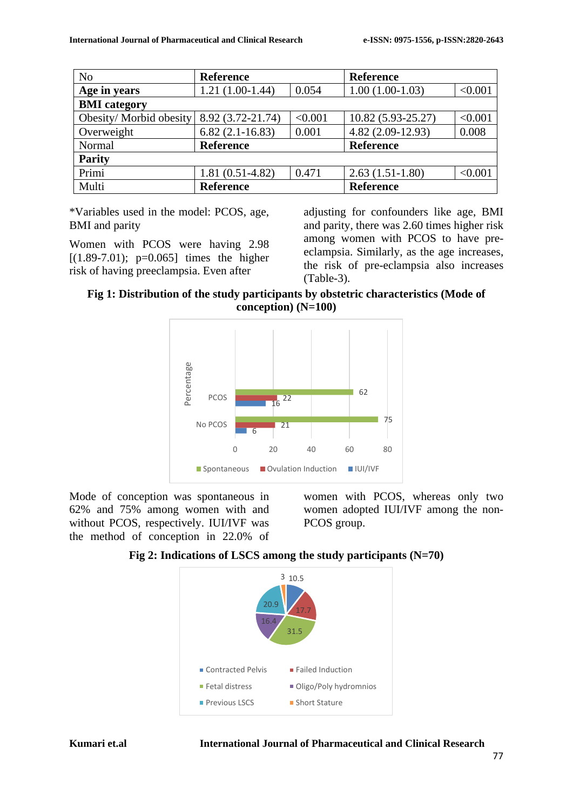| N <sub>o</sub>         | <b>Reference</b>  |         | <b>Reference</b>   |         |  |
|------------------------|-------------------|---------|--------------------|---------|--|
| Age in years           | $1.21(1.00-1.44)$ | 0.054   | $1.00(1.00-1.03)$  | < 0.001 |  |
| <b>BMI</b> category    |                   |         |                    |         |  |
| Obesity/Morbid obesity | 8.92 (3.72-21.74) | < 0.001 | 10.82 (5.93-25.27) | < 0.001 |  |
| Overweight             | $6.82(2.1-16.83)$ | 0.001   | $4.82(2.09-12.93)$ | 0.008   |  |
| Normal                 | <b>Reference</b>  |         | <b>Reference</b>   |         |  |
| <b>Parity</b>          |                   |         |                    |         |  |
| Primi                  | $1.81(0.51-4.82)$ | 0.471   | $2.63(1.51-1.80)$  | < 0.001 |  |
| Multi                  | <b>Reference</b>  |         | <b>Reference</b>   |         |  |

\*Variables used in the model: PCOS, age, BMI and parity

Women with PCOS were having 2.98  $[(1.89-7.01); p=0.065]$  times the higher risk of having preeclampsia. Even after

adjusting for confounders like age, BMI and parity, there was 2.60 times higher risk among women with PCOS to have preeclampsia. Similarly, as the age increases, the risk of pre-eclampsia also increases (Table-3).

**Fig 1: Distribution of the study participants by obstetric characteristics (Mode of conception) (N=100)**



Mode of conception was spontaneous in 62% and 75% among women with and without PCOS, respectively. IUI/IVF was the method of conception in 22.0% of

women with PCOS, whereas only two women adopted IUI/IVF among the non-PCOS group.



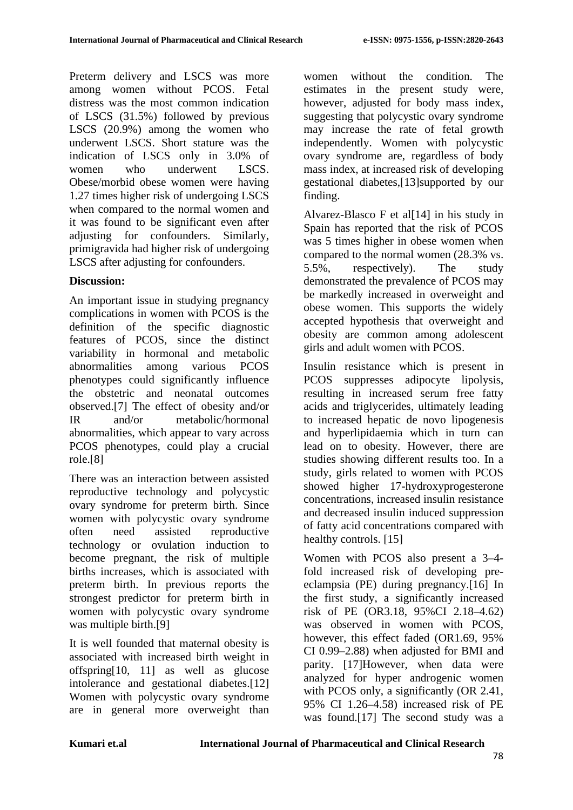Preterm delivery and LSCS was more among women without PCOS. Fetal distress was the most common indication of LSCS (31.5%) followed by previous LSCS (20.9%) among the women who underwent LSCS. Short stature was the indication of LSCS only in 3.0% of women who underwent LSCS. Obese/morbid obese women were having 1.27 times higher risk of undergoing LSCS when compared to the normal women and it was found to be significant even after adjusting for confounders. Similarly, primigravida had higher risk of undergoing LSCS after adjusting for confounders.

### **Discussion:**

An important issue in studying pregnancy complications in women with PCOS is the definition of the specific diagnostic features of PCOS, since the distinct variability in hormonal and metabolic abnormalities among various PCOS phenotypes could significantly influence the obstetric and neonatal outcomes observed.[7] The effect of obesity and/or IR and/or metabolic/hormonal abnormalities, which appear to vary across PCOS phenotypes, could play a crucial role.[8]

There was an interaction between assisted reproductive technology and polycystic ovary syndrome for preterm birth. Since women with polycystic ovary syndrome often need assisted reproductive technology or ovulation induction to become pregnant, the risk of multiple births increases, which is associated with preterm birth. In previous reports the strongest predictor for preterm birth in women with polycystic ovary syndrome was multiple birth.[9]

It is well founded that maternal obesity is associated with increased birth weight in offspring[10, 11] as well as glucose intolerance and gestational diabetes.[12] Women with polycystic ovary syndrome are in general more overweight than women without the condition. The estimates in the present study were, however, adjusted for body mass index, suggesting that polycystic ovary syndrome may increase the rate of fetal growth independently. Women with polycystic ovary syndrome are, regardless of body mass index, at increased risk of developing gestational diabetes,[13]supported by our finding.

Alvarez-Blasco F et al[14] in his study in Spain has reported that the risk of PCOS was 5 times higher in obese women when compared to the normal women (28.3% vs. 5.5%, respectively). The study demonstrated the prevalence of PCOS may be markedly increased in overweight and obese women. This supports the widely accepted hypothesis that overweight and obesity are common among adolescent girls and adult women with PCOS.

Insulin resistance which is present in PCOS suppresses adipocyte lipolysis, resulting in increased serum free fatty acids and triglycerides, ultimately leading to increased hepatic de novo lipogenesis and hyperlipidaemia which in turn can lead on to obesity. However, there are studies showing different results too. In a study, girls related to women with PCOS showed higher 17-hydroxyprogesterone concentrations, increased insulin resistance and decreased insulin induced suppression of fatty acid concentrations compared with healthy controls. [15]

Women with PCOS also present a 3–4 fold increased risk of developing preeclampsia (PE) during pregnancy.[16] In the first study, a significantly increased risk of PE (OR3.18, 95%CI 2.18–4.62) was observed in women with PCOS, however, this effect faded (OR1.69, 95% CI 0.99–2.88) when adjusted for BMI and parity. [17]However, when data were analyzed for hyper androgenic women with PCOS only, a significantly (OR 2.41, 95% CI 1.26–4.58) increased risk of PE was found.[17] The second study was a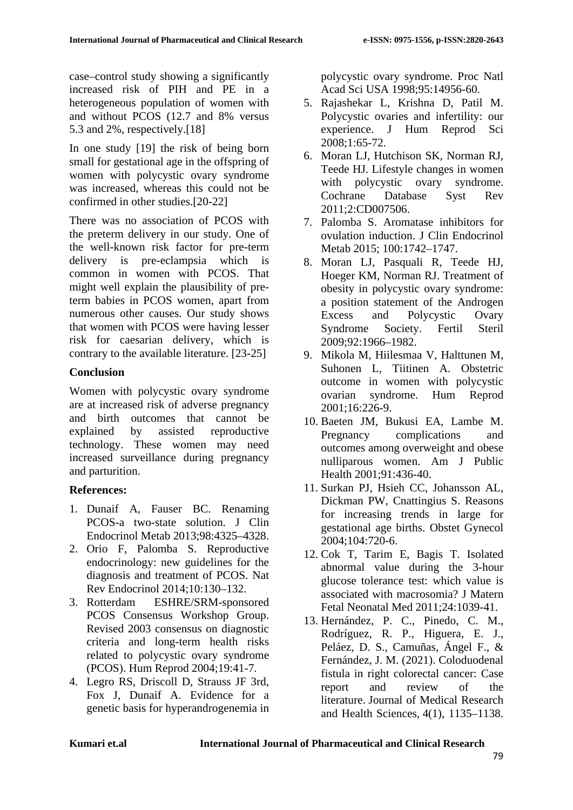case–control study showing a significantly increased risk of PIH and PE in a heterogeneous population of women with and without PCOS (12.7 and 8% versus 5.3 and 2%, respectively.[18]

In one study [19] the risk of being born small for gestational age in the offspring of women with polycystic ovary syndrome was increased, whereas this could not be confirmed in other studies.[20-22]

There was no association of PCOS with the preterm delivery in our study. One of the well-known risk factor for pre-term delivery is pre-eclampsia which is common in women with PCOS. That might well explain the plausibility of preterm babies in PCOS women, apart from numerous other causes. Our study shows that women with PCOS were having lesser risk for caesarian delivery, which is contrary to the available literature. [23-25]

## **Conclusion**

Women with polycystic ovary syndrome are at increased risk of adverse pregnancy and birth outcomes that cannot be explained by assisted reproductive technology. These women may need increased surveillance during pregnancy and parturition.

# **References:**

- 1. Dunaif A, Fauser BC. Renaming PCOS-a two-state solution. J Clin Endocrinol Metab 2013;98:4325–4328.
- 2. Orio F, Palomba S. Reproductive endocrinology: new guidelines for the diagnosis and treatment of PCOS. Nat Rev Endocrinol 2014;10:130–132.
- 3. Rotterdam ESHRE/SRM-sponsored PCOS Consensus Workshop Group. Revised 2003 consensus on diagnostic criteria and long-term health risks related to polycystic ovary syndrome (PCOS). Hum Reprod 2004;19:41-7.
- 4. Legro RS, Driscoll D, Strauss JF 3rd, Fox J, Dunaif A. Evidence for a genetic basis for hyperandrogenemia in

polycystic ovary syndrome. Proc Natl Acad Sci USA 1998;95:14956-60.

- 5. Rajashekar L, Krishna D, Patil M. Polycystic ovaries and infertility: our experience. J Hum Reprod Sci 2008;1:65-72.
- 6. Moran LJ, Hutchison SK, Norman RJ, Teede HJ. Lifestyle changes in women with polycystic ovary syndrome. Cochrane Database Syst Rev 2011;2:CD007506.
- 7. Palomba S. Aromatase inhibitors for ovulation induction. J Clin Endocrinol Metab 2015; 100:1742–1747.
- 8. Moran LJ, Pasquali R, Teede HJ, Hoeger KM, Norman RJ. Treatment of obesity in polycystic ovary syndrome: a position statement of the Androgen Excess and Polycystic Ovary Syndrome Society. Fertil Steril 2009;92:1966–1982.
- 9. Mikola M, Hiilesmaa V, Halttunen M, Suhonen L, Tiitinen A. Obstetric outcome in women with polycystic ovarian syndrome. Hum Reprod 2001;16:226-9.
- 10. Baeten JM, Bukusi EA, Lambe M. Pregnancy complications and outcomes among overweight and obese nulliparous women. Am J Public Health 2001;91:436-40.
- 11. Surkan PJ, Hsieh CC, Johansson AL, Dickman PW, Cnattingius S. Reasons for increasing trends in large for gestational age births. Obstet Gynecol 2004;104:720-6.
- 12. Cok T, Tarim E, Bagis T. Isolated abnormal value during the 3-hour glucose tolerance test: which value is associated with macrosomia? J Matern Fetal Neonatal Med 2011;24:1039-41.
- 13. Hernández, P. C., Pinedo, C. M., Rodríguez, R. P., Higuera, E. J., Peláez, D. S., Camuñas, Ángel F., & Fernández, J. M. (2021). Coloduodenal fistula in right colorectal cancer: Case report and review of the literature. Journal of Medical Research and Health Sciences, 4(1), 1135–1138.